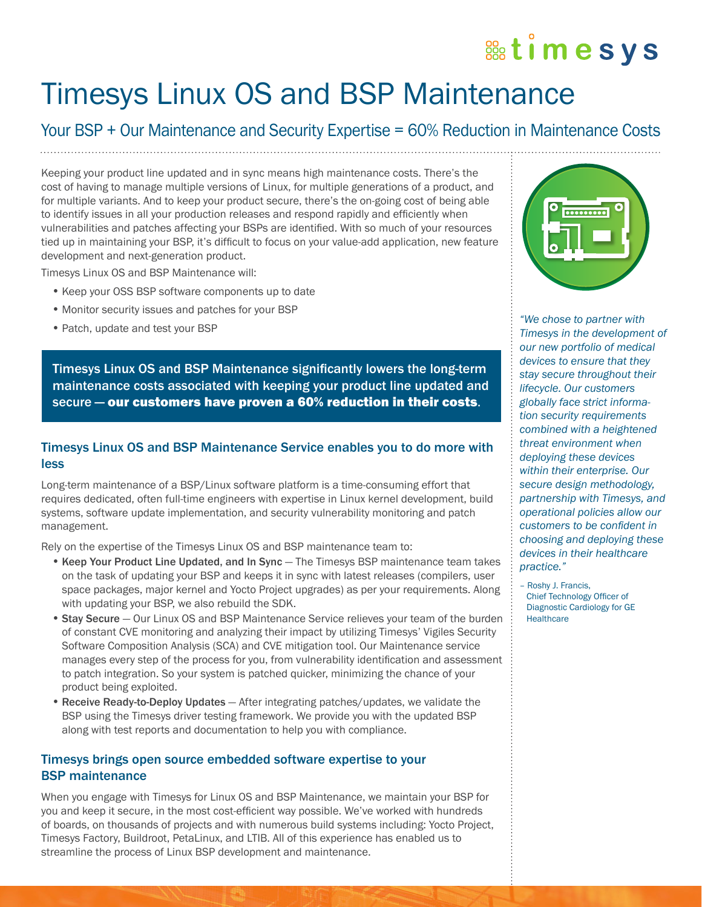# **& timesys**

# Timesys Linux OS and BSP Maintenance

# Your BSP + Our Maintenance and Security Expertise = 60% Reduction in Maintenance Costs

Keeping your product line updated and in sync means high maintenance costs. There's the cost of having to manage multiple versions of Linux, for multiple generations of a product, and for multiple variants. And to keep your product secure, there's the on-going cost of being able to identify issues in all your production releases and respond rapidly and efficiently when vulnerabilities and patches affecting your BSPs are identified. With so much of your resources to identify issues in all your production releases and respond rapidly and efficiently when<br>
vulnerabilities and patches affecting your BSPs are identified. With so much of your resources<br>
tied up in maintaining your BSP, development and next-generation product.

Timesys Linux OS and BSP Maintenance will:

- •Keep your OSS BSP software components up to date
- Monitor security issues and patches for your BSP
- •Patch, update and test your BSP

Timesys Linux OS and BSP Maintenance significantly lowers the long-term maintenance costs associated with keeping your product line updated and secure — our customers have proven a 60% reduction in their costs.

# Timesys Linux OS and BSP Maintenance Service enables you to do more with less

Long-term maintenance of a BSP/Linux software platform is a time-consuming effort that requires dedicated, often full-time engineers with expertise in Linux kernel development, build systems, software update implementation, and security vulnerability monitoring and patch management.

Rely on the expertise of the Timesys Linux OS and BSP maintenance team to:

- Keep Your Product Line Updated, and In Sync The Timesys BSP maintenance team takes on the task of updating your BSP and keeps it in sync with latest releases (compilers, user space packages, major kernel and Yocto Project upgrades) as per your requirements. Along with updating your BSP, we also rebuild the SDK.
- •Stay Secure Our Linux OS and BSP Maintenance Service relieves your team of the burden of constant CVE monitoring and analyzing their impact by utilizing Timesys' Vigiles Security Software Composition Analysis (SCA) and CVE mitigation tool. Our Maintenance service manages every step of the process for you, from vulnerability identification and assessment to patch integration. So your system is patched quicker, minimizing the chance of your product being exploited.
- Receive Ready-to-Deploy Updates After integrating patches/updates, we validate the BSP using the Timesys driver testing framework. We provide you with the updated BSP along with test reports and documentation to help you with compliance.

# Timesys brings open source embedded software expertise to your BSP maintenance

When you engage with Timesys for Linux OS and BSP Maintenance, we maintain your BSP for you and keep it secure, in the most cost-efficient way possible. We've worked with hundreds of boards, on thousands of projects and with numerous build systems including: Yocto Project, Timesys Factory, Buildroot, PetaLinux, and LTIB. All of this experience has enabled us to streamline the process of Linux BSP development and maintenance.



*"We chose to partner with Timesys in the development of our new portfolio of medical devices to ensure that they stay secure throughout their lifecycle. Our customers globally face strict information security requirements combined with a heightened threat environment when deploying these devices within their enterprise. Our secure design methodology, partnership with Timesys, and operational policies allow our customers to be confident in choosing and deploying these devices in their healthcare practice."*

– Roshy J. Francis, Chief Technology Officer of Diagnostic Cardiology for GE **Healthcare**